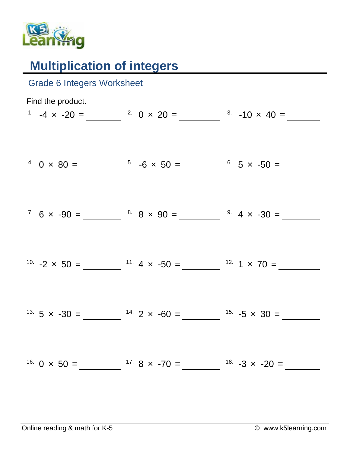

## **Multiplication of integers**

| <b>Grade 6 Integers Worksheet</b> |                                                                                                                           |  |
|-----------------------------------|---------------------------------------------------------------------------------------------------------------------------|--|
| Find the product.                 | <sup>1</sup> -4 x -20 = $20 \times 20 = 20 \times 20 = 3$ -10 x 40 =                                                      |  |
|                                   | <sup>4</sup> 0 × 80 = $\frac{5}{2}$ -6 × 50 = $\frac{6}{2}$ 5 × -50 =                                                     |  |
|                                   | <sup>7</sup> 6 x -90 = $\frac{8}{1}$ 8 x 90 = $\frac{9}{1}$ 4 x -30 =                                                     |  |
|                                   | <sup>10.</sup> $-2 \times 50 =$ $11.4 \times -50 =$ $12.1 \times 70 =$                                                    |  |
|                                   | <sup>13.</sup> 5 x -30 = $14.2$ x -60 = $15.5$ x 30 =                                                                     |  |
|                                   | <sup>16.</sup> 0 $\times$ 50 = $\frac{17.8 \times -70}{ }$ = $\frac{17.8 \times -70}{ }$ = $\frac{18.23 \times -20}{ }$ = |  |